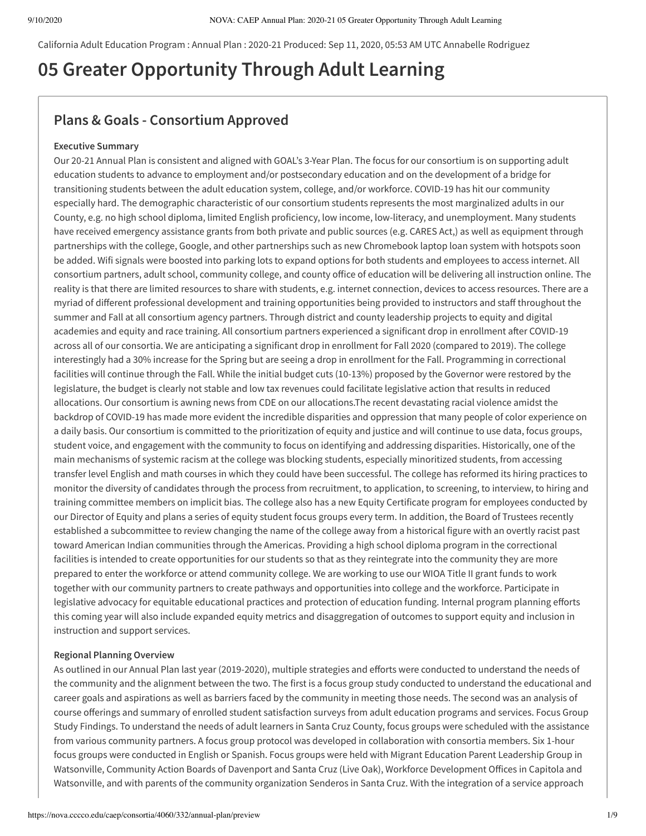California Adult Education Program : Annual Plan : 2020-21 Produced: Sep 11, 2020, 05:53 AM UTC Annabelle Rodriguez

# **05 Greater Opportunity Through Adult Learning**

## **Plans & Goals - Consortium Approved**

### **Executive Summary**

Our 20-21 Annual Plan is consistent and aligned with GOAL's 3-Year Plan. The focus for our consortium is on supporting adult education students to advance to employment and/or postsecondary education and on the development of a bridge for transitioning students between the adult education system, college, and/or workforce. COVID-19 has hit our community especially hard. The demographic characteristic of our consortium students represents the most marginalized adults in our County, e.g. no high school diploma, limited English proficiency, low income, low-literacy, and unemployment. Many students have received emergency assistance grants from both private and public sources (e.g. CARES Act,) as well as equipment through partnerships with the college, Google, and other partnerships such as new Chromebook laptop loan system with hotspots soon be added. Wifi signals were boosted into parking lots to expand options for both students and employees to access internet. All consortium partners, adult school, community college, and county office of education will be delivering all instruction online. The reality is that there are limited resources to share with students, e.g. internet connection, devices to access resources. There are a myriad of different professional development and training opportunities being provided to instructors and staff throughout the summer and Fall at all consortium agency partners. Through district and county leadership projects to equity and digital academies and equity and race training. All consortium partners experienced a significant drop in enrollment after COVID-19 across all of our consortia. We are anticipating a significant drop in enrollment for Fall 2020 (compared to 2019). The college interestingly had a 30% increase for the Spring but are seeing a drop in enrollment for the Fall. Programming in correctional facilities will continue through the Fall. While the initial budget cuts (10-13%) proposed by the Governor were restored by the legislature, the budget is clearly not stable and low tax revenues could facilitate legislative action that results in reduced allocations. Our consortium is awning news from CDE on our allocations.The recent devastating racial violence amidst the backdrop of COVID-19 has made more evident the incredible disparities and oppression that many people of color experience on a daily basis. Our consortium is committed to the prioritization of equity and justice and will continue to use data, focus groups, student voice, and engagement with the community to focus on identifying and addressing disparities. Historically, one of the main mechanisms of systemic racism at the college was blocking students, especially minoritized students, from accessing transfer level English and math courses in which they could have been successful. The college has reformed its hiring practices to monitor the diversity of candidates through the process from recruitment, to application, to screening, to interview, to hiring and training committee members on implicit bias. The college also has a new Equity Certificate program for employees conducted by our Director of Equity and plans a series of equity student focus groups every term. In addition, the Board of Trustees recently established a subcommittee to review changing the name of the college away from a historical figure with an overtly racist past toward American Indian communities through the Americas. Providing a high school diploma program in the correctional facilities is intended to create opportunities for our students so that as they reintegrate into the community they are more prepared to enter the workforce or attend community college. We are working to use our WIOA Title II grant funds to work together with our community partners to create pathways and opportunities into college and the workforce. Participate in legislative advocacy for equitable educational practices and protection of education funding. Internal program planning efforts this coming year will also include expanded equity metrics and disaggregation of outcomes to support equity and inclusion in instruction and support services.

#### **Regional Planning Overview**

As outlined in our Annual Plan last year (2019-2020), multiple strategies and efforts were conducted to understand the needs of the community and the alignment between the two. The first is a focus group study conducted to understand the educational and career goals and aspirations as well as barriers faced by the community in meeting those needs. The second was an analysis of course offerings and summary of enrolled student satisfaction surveys from adult education programs and services. Focus Group Study Findings. To understand the needs of adult learners in Santa Cruz County, focus groups were scheduled with the assistance from various community partners. A focus group protocol was developed in collaboration with consortia members. Six 1-hour focus groups were conducted in English or Spanish. Focus groups were held with Migrant Education Parent Leadership Group in Watsonville, Community Action Boards of Davenport and Santa Cruz (Live Oak), Workforce Development Offices in Capitola and Watsonville, and with parents of the community organization Senderos in Santa Cruz. With the integration of a service approach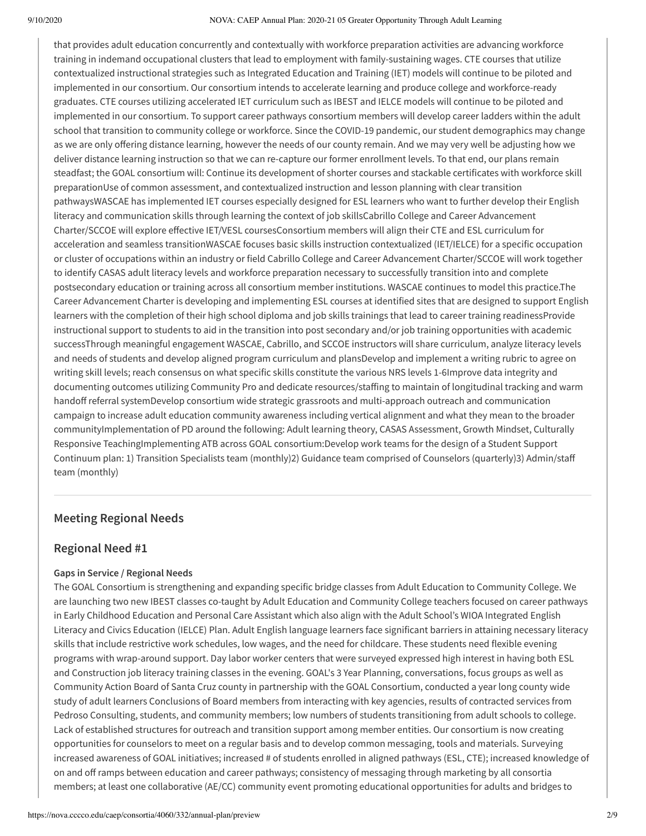that provides adult education concurrently and contextually with workforce preparation activities are advancing workforce training in indemand occupational clusters that lead to employment with family-sustaining wages. CTE courses that utilize contextualized instructional strategies such as Integrated Education and Training (IET) models will continue to be piloted and implemented in our consortium. Our consortium intends to accelerate learning and produce college and workforce-ready graduates. CTE courses utilizing accelerated IET curriculum such as IBEST and IELCE models will continue to be piloted and implemented in our consortium. To support career pathways consortium members will develop career ladders within the adult school that transition to community college or workforce. Since the COVID-19 pandemic, our student demographics may change as we are only offering distance learning, however the needs of our county remain. And we may very well be adjusting how we deliver distance learning instruction so that we can re-capture our former enrollment levels. To that end, our plans remain steadfast; the GOAL consortium will: Continue its development of shorter courses and stackable certificates with workforce skill preparationUse of common assessment, and contextualized instruction and lesson planning with clear transition pathwaysWASCAE has implemented IET courses especially designed for ESL learners who want to further develop their English literacy and communication skills through learning the context of job skillsCabrillo College and Career Advancement Charter/SCCOE will explore effective IET/VESL coursesConsortium members will align their CTE and ESL curriculum for acceleration and seamless transitionWASCAE focuses basic skills instruction contextualized (IET/IELCE) for a specific occupation or cluster of occupations within an industry or field Cabrillo College and Career Advancement Charter/SCCOE will work together to identify CASAS adult literacy levels and workforce preparation necessary to successfully transition into and complete postsecondary education or training across all consortium member institutions. WASCAE continues to model this practice.The Career Advancement Charter is developing and implementing ESL courses at identified sites that are designed to support English learners with the completion of their high school diploma and job skills trainings that lead to career training readinessProvide instructional support to students to aid in the transition into post secondary and/or job training opportunities with academic successThrough meaningful engagement WASCAE, Cabrillo, and SCCOE instructors will share curriculum, analyze literacy levels and needs of students and develop aligned program curriculum and plansDevelop and implement a writing rubric to agree on writing skill levels; reach consensus on what specific skills constitute the various NRS levels 1-6Improve data integrity and documenting outcomes utilizing Community Pro and dedicate resources/staffing to maintain of longitudinal tracking and warm handoff referral systemDevelop consortium wide strategic grassroots and multi-approach outreach and communication campaign to increase adult education community awareness including vertical alignment and what they mean to the broader communityImplementation of PD around the following: Adult learning theory, CASAS Assessment, Growth Mindset, Culturally Responsive TeachingImplementing ATB across GOAL consortium:Develop work teams for the design of a Student Support Continuum plan: 1) Transition Specialists team (monthly)2) Guidance team comprised of Counselors (quarterly)3) Admin/sta team (monthly)

## **Meeting Regional Needs**

## **Regional Need #1**

## **Gaps in Service / Regional Needs**

The GOAL Consortium is strengthening and expanding specific bridge classes from Adult Education to Community College. We are launching two new IBEST classes co-taught by Adult Education and Community College teachers focused on career pathways in Early Childhood Education and Personal Care Assistant which also align with the Adult School's WIOA Integrated English Literacy and Civics Education (IELCE) Plan. Adult English language learners face significant barriers in attaining necessary literacy skills that include restrictive work schedules, low wages, and the need for childcare. These students need flexible evening programs with wrap-around support. Day labor worker centers that were surveyed expressed high interest in having both ESL and Construction job literacy training classes in the evening. GOAL's 3 Year Planning, conversations, focus groups as well as Community Action Board of Santa Cruz county in partnership with the GOAL Consortium, conducted a year long county wide study of adult learners Conclusions of Board members from interacting with key agencies, results of contracted services from Pedroso Consulting, students, and community members; low numbers of students transitioning from adult schools to college. Lack of established structures for outreach and transition support among member entities. Our consortium is now creating opportunities for counselors to meet on a regular basis and to develop common messaging, tools and materials. Surveying increased awareness of GOAL initiatives; increased # of students enrolled in aligned pathways (ESL, CTE); increased knowledge of on and off ramps between education and career pathways; consistency of messaging through marketing by all consortia members; at least one collaborative (AE/CC) community event promoting educational opportunities for adults and bridges to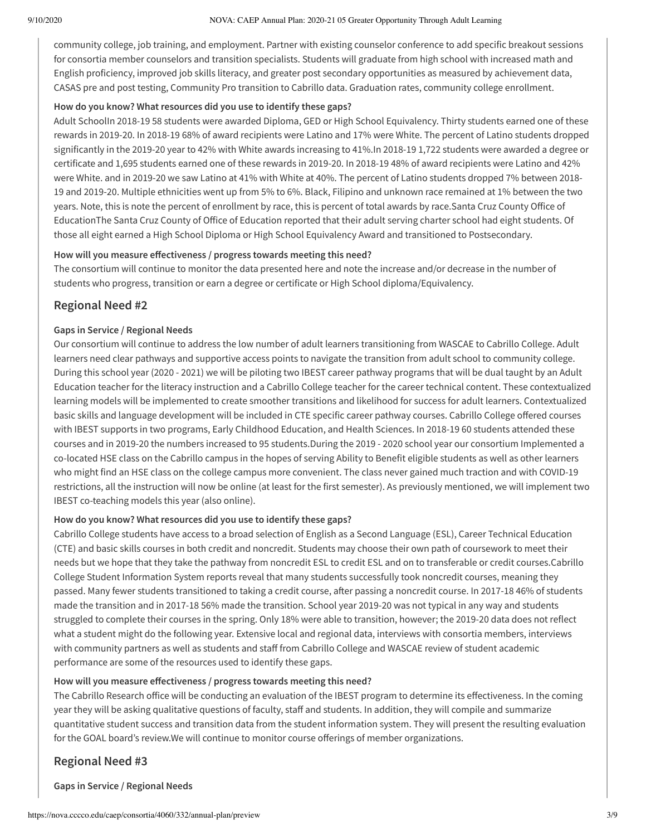community college, job training, and employment. Partner with existing counselor conference to add specific breakout sessions for consortia member counselors and transition specialists. Students will graduate from high school with increased math and English proficiency, improved job skills literacy, and greater post secondary opportunities as measured by achievement data, CASAS pre and post testing, Community Pro transition to Cabrillo data. Graduation rates, community college enrollment.

### **How do you know? What resources did you use to identify these gaps?**

Adult SchoolIn 2018-19 58 students were awarded Diploma, GED or High School Equivalency. Thirty students earned one of these rewards in 2019-20. In 2018-19 68% of award recipients were Latino and 17% were White. The percent of Latino students dropped significantly in the 2019-20 year to 42% with White awards increasing to 41%.In 2018-19 1,722 students were awarded a degree or certificate and 1,695 students earned one of these rewards in 2019-20. In 2018-19 48% of award recipients were Latino and 42% were White. and in 2019-20 we saw Latino at 41% with White at 40%. The percent of Latino students dropped 7% between 2018- 19 and 2019-20. Multiple ethnicities went up from 5% to 6%. Black, Filipino and unknown race remained at 1% between the two years. Note, this is note the percent of enrollment by race, this is percent of total awards by race.Santa Cruz County Office of EducationThe Santa Cruz County of Office of Education reported that their adult serving charter school had eight students. Of those all eight earned a High School Diploma or High School Equivalency Award and transitioned to Postsecondary.

## How will you measure effectiveness / progress towards meeting this need?

The consortium will continue to monitor the data presented here and note the increase and/or decrease in the number of students who progress, transition or earn a degree or certificate or High School diploma/Equivalency.

## **Regional Need #2**

## **Gaps in Service / Regional Needs**

Our consortium will continue to address the low number of adult learners transitioning from WASCAE to Cabrillo College. Adult learners need clear pathways and supportive access points to navigate the transition from adult school to community college. During this school year (2020 - 2021) we will be piloting two IBEST career pathway programs that will be dual taught by an Adult Education teacher for the literacy instruction and a Cabrillo College teacher for the career technical content. These contextualized learning models will be implemented to create smoother transitions and likelihood for success for adult learners. Contextualized basic skills and language development will be included in CTE specific career pathway courses. Cabrillo College offered courses with IBEST supports in two programs, Early Childhood Education, and Health Sciences. In 2018-19 60 students attended these courses and in 2019-20 the numbers increased to 95 students.During the 2019 - 2020 school year our consortium Implemented a co-located HSE class on the Cabrillo campus in the hopes of serving Ability to Benefit eligible students as well as other learners who might find an HSE class on the college campus more convenient. The class never gained much traction and with COVID-19 restrictions, all the instruction will now be online (at least for the first semester). As previously mentioned, we will implement two IBEST co-teaching models this year (also online).

## **How do you know? What resources did you use to identify these gaps?**

Cabrillo College students have access to a broad selection of English as a Second Language (ESL), Career Technical Education (CTE) and basic skills courses in both credit and noncredit. Students may choose their own path of coursework to meet their needs but we hope that they take the pathway from noncredit ESL to credit ESL and on to transferable or credit courses.Cabrillo College Student Information System reports reveal that many students successfully took noncredit courses, meaning they passed. Many fewer students transitioned to taking a credit course, after passing a noncredit course. In 2017-18 46% of students made the transition and in 2017-18 56% made the transition. School year 2019-20 was not typical in any way and students struggled to complete their courses in the spring. Only 18% were able to transition, however; the 2019-20 data does not reflect what a student might do the following year. Extensive local and regional data, interviews with consortia members, interviews with community partners as well as students and staff from Cabrillo College and WASCAE review of student academic performance are some of the resources used to identify these gaps.

#### How will you measure effectiveness / progress towards meeting this need?

The Cabrillo Research office will be conducting an evaluation of the IBEST program to determine its effectiveness. In the coming year they will be asking qualitative questions of faculty, staff and students. In addition, they will compile and summarize quantitative student success and transition data from the student information system. They will present the resulting evaluation for the GOAL board's review.We will continue to monitor course offerings of member organizations.

## **Regional Need #3**

**Gaps in Service / Regional Needs**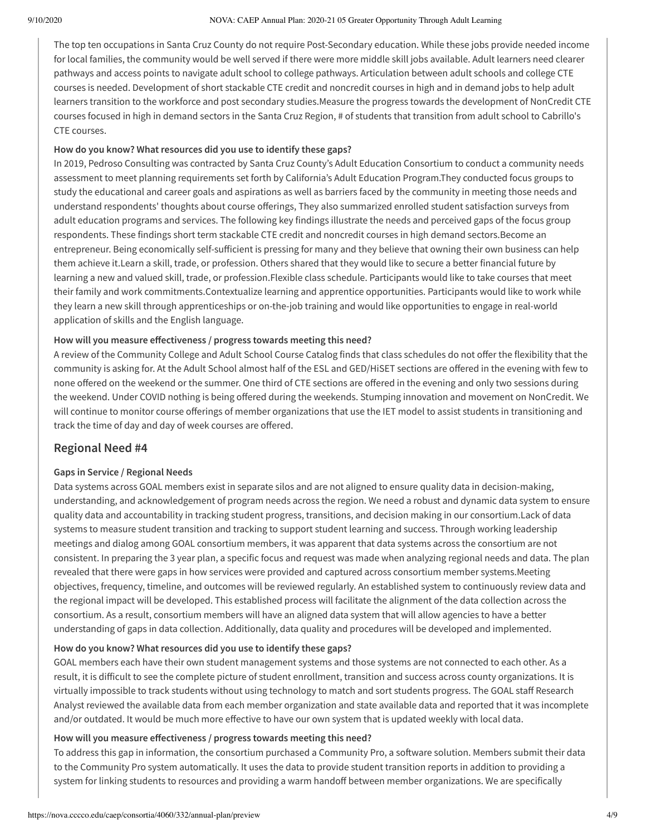The top ten occupations in Santa Cruz County do not require Post-Secondary education. While these jobs provide needed income for local families, the community would be well served if there were more middle skill jobs available. Adult learners need clearer pathways and access points to navigate adult school to college pathways. Articulation between adult schools and college CTE courses is needed. Development of short stackable CTE credit and noncredit courses in high and in demand jobs to help adult learners transition to the workforce and post secondary studies.Measure the progress towards the development of NonCredit CTE courses focused in high in demand sectors in the Santa Cruz Region, # of students that transition from adult school to Cabrillo's CTE courses.

## **How do you know? What resources did you use to identify these gaps?**

In 2019, Pedroso Consulting was contracted by Santa Cruz County's Adult Education Consortium to conduct a community needs assessment to meet planning requirements set forth by California's Adult Education Program.They conducted focus groups to study the educational and career goals and aspirations as well as barriers faced by the community in meeting those needs and understand respondents' thoughts about course offerings, They also summarized enrolled student satisfaction surveys from adult education programs and services. The following key findings illustrate the needs and perceived gaps of the focus group respondents. These findings short term stackable CTE credit and noncredit courses in high demand sectors.Become an entrepreneur. Being economically self-sufficient is pressing for many and they believe that owning their own business can help them achieve it.Learn a skill, trade, or profession. Others shared that they would like to secure a better financial future by learning a new and valued skill, trade, or profession.Flexible class schedule. Participants would like to take courses that meet their family and work commitments.Contextualize learning and apprentice opportunities. Participants would like to work while they learn a new skill through apprenticeships or on-the-job training and would like opportunities to engage in real-world application of skills and the English language.

## How will you measure effectiveness / progress towards meeting this need?

A review of the Community College and Adult School Course Catalog finds that class schedules do not offer the flexibility that the community is asking for. At the Adult School almost half of the ESL and GED/HiSET sections are offered in the evening with few to none offered on the weekend or the summer. One third of CTE sections are offered in the evening and only two sessions during the weekend. Under COVID nothing is being offered during the weekends. Stumping innovation and movement on NonCredit. We will continue to monitor course offerings of member organizations that use the IET model to assist students in transitioning and track the time of day and day of week courses are offered.

## **Regional Need #4**

## **Gaps in Service / Regional Needs**

Data systems across GOAL members exist in separate silos and are not aligned to ensure quality data in decision-making, understanding, and acknowledgement of program needs across the region. We need a robust and dynamic data system to ensure quality data and accountability in tracking student progress, transitions, and decision making in our consortium.Lack of data systems to measure student transition and tracking to support student learning and success. Through working leadership meetings and dialog among GOAL consortium members, it was apparent that data systems across the consortium are not consistent. In preparing the 3 year plan, a specific focus and request was made when analyzing regional needs and data. The plan revealed that there were gaps in how services were provided and captured across consortium member systems.Meeting objectives, frequency, timeline, and outcomes will be reviewed regularly. An established system to continuously review data and the regional impact will be developed. This established process will facilitate the alignment of the data collection across the consortium. As a result, consortium members will have an aligned data system that will allow agencies to have a better understanding of gaps in data collection. Additionally, data quality and procedures will be developed and implemented.

## **How do you know? What resources did you use to identify these gaps?**

GOAL members each have their own student management systems and those systems are not connected to each other. As a result, it is difficult to see the complete picture of student enrollment, transition and success across county organizations. It is virtually impossible to track students without using technology to match and sort students progress. The GOAL staff Research Analyst reviewed the available data from each member organization and state available data and reported that it was incomplete and/or outdated. It would be much more effective to have our own system that is updated weekly with local data.

## How will you measure effectiveness / progress towards meeting this need?

To address this gap in information, the consortium purchased a Community Pro, a software solution. Members submit their data to the Community Pro system automatically. It uses the data to provide student transition reports in addition to providing a system for linking students to resources and providing a warm handoff between member organizations. We are specifically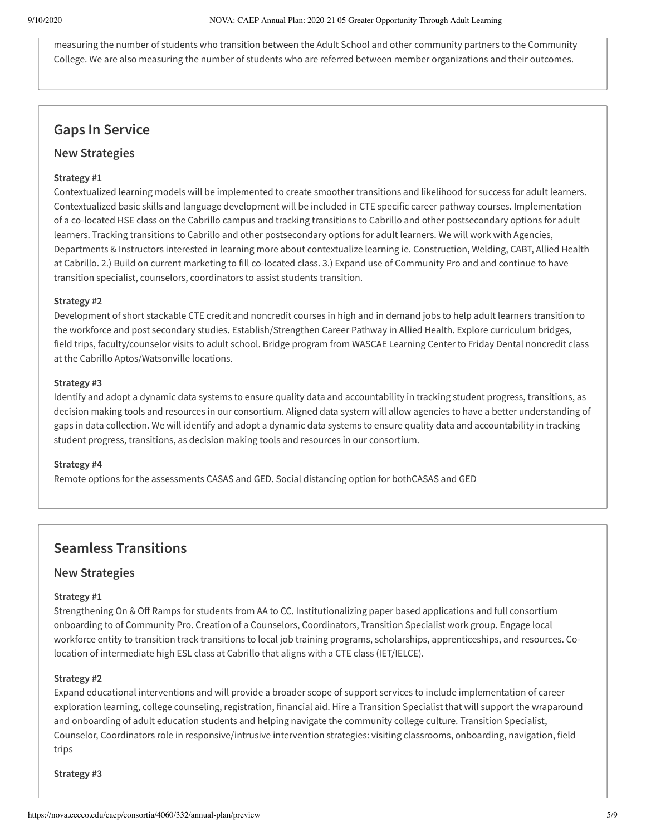measuring the number of students who transition between the Adult School and other community partners to the Community College. We are also measuring the number of students who are referred between member organizations and their outcomes.

## **Gaps In Service**

## **New Strategies**

## **Strategy #1**

Contextualized learning models will be implemented to create smoother transitions and likelihood for success for adult learners. Contextualized basic skills and language development will be included in CTE specific career pathway courses. Implementation of a co-located HSE class on the Cabrillo campus and tracking transitions to Cabrillo and other postsecondary options for adult learners. Tracking transitions to Cabrillo and other postsecondary options for adult learners. We will work with Agencies, Departments & Instructors interested in learning more about contextualize learning ie. Construction, Welding, CABT, Allied Health at Cabrillo. 2.) Build on current marketing to fill co-located class. 3.) Expand use of Community Pro and and continue to have transition specialist, counselors, coordinators to assist students transition.

## **Strategy #2**

Development of short stackable CTE credit and noncredit courses in high and in demand jobs to help adult learners transition to the workforce and post secondary studies. Establish/Strengthen Career Pathway in Allied Health. Explore curriculum bridges, field trips, faculty/counselor visits to adult school. Bridge program from WASCAE Learning Center to Friday Dental noncredit class at the Cabrillo Aptos/Watsonville locations.

### **Strategy #3**

Identify and adopt a dynamic data systems to ensure quality data and accountability in tracking student progress, transitions, as decision making tools and resources in our consortium. Aligned data system will allow agencies to have a better understanding of gaps in data collection. We will identify and adopt a dynamic data systems to ensure quality data and accountability in tracking student progress, transitions, as decision making tools and resources in our consortium.

#### **Strategy #4**

Remote options for the assessments CASAS and GED. Social distancing option for bothCASAS and GED

## **Seamless Transitions**

## **New Strategies**

#### **Strategy #1**

Strengthening On & Off Ramps for students from AA to CC. Institutionalizing paper based applications and full consortium onboarding to of Community Pro. Creation of a Counselors, Coordinators, Transition Specialist work group. Engage local workforce entity to transition track transitions to local job training programs, scholarships, apprenticeships, and resources. Colocation of intermediate high ESL class at Cabrillo that aligns with a CTE class (IET/IELCE).

#### **Strategy #2**

Expand educational interventions and will provide a broader scope of support services to include implementation of career exploration learning, college counseling, registration, financial aid. Hire a Transition Specialist that will support the wraparound and onboarding of adult education students and helping navigate the community college culture. Transition Specialist, Counselor, Coordinators role in responsive/intrusive intervention strategies: visiting classrooms, onboarding, navigation, field trips

**Strategy #3**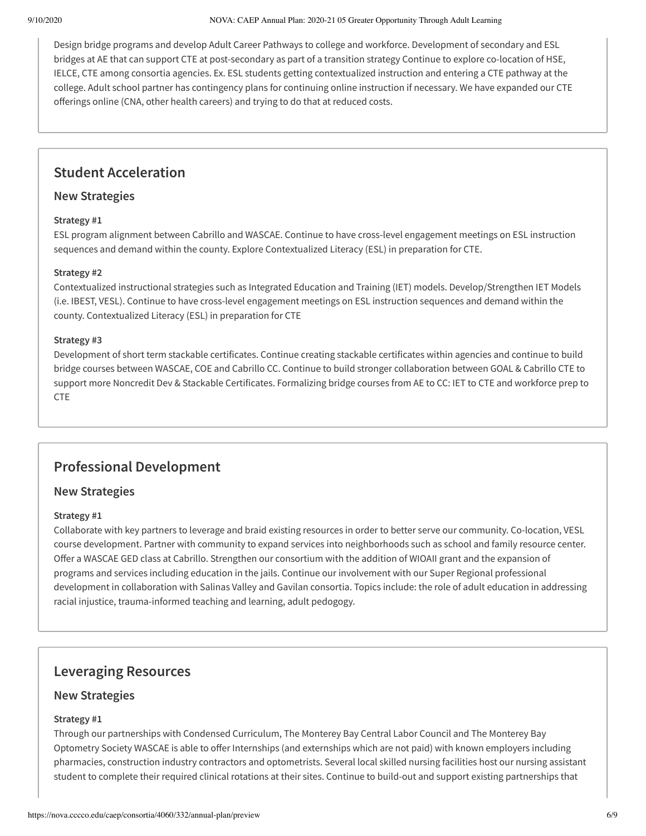Design bridge programs and develop Adult Career Pathways to college and workforce. Development of secondary and ESL bridges at AE that can support CTE at post-secondary as part of a transition strategy Continue to explore co-location of HSE, IELCE, CTE among consortia agencies. Ex. ESL students getting contextualized instruction and entering a CTE pathway at the college. Adult school partner has contingency plans for continuing online instruction if necessary. We have expanded our CTE offerings online (CNA, other health careers) and trying to do that at reduced costs.

## **Student Acceleration**

## **New Strategies**

### **Strategy #1**

ESL program alignment between Cabrillo and WASCAE. Continue to have cross-level engagement meetings on ESL instruction sequences and demand within the county. Explore Contextualized Literacy (ESL) in preparation for CTE.

### **Strategy #2**

Contextualized instructional strategies such as Integrated Education and Training (IET) models. Develop/Strengthen IET Models (i.e. IBEST, VESL). Continue to have cross-level engagement meetings on ESL instruction sequences and demand within the county. Contextualized Literacy (ESL) in preparation for CTE

### **Strategy #3**

Development of short term stackable certificates. Continue creating stackable certificates within agencies and continue to build bridge courses between WASCAE, COE and Cabrillo CC. Continue to build stronger collaboration between GOAL & Cabrillo CTE to support more Noncredit Dev & Stackable Certificates. Formalizing bridge courses from AE to CC: IET to CTE and workforce prep to CTE

## **Professional Development**

## **New Strategies**

#### **Strategy #1**

Collaborate with key partners to leverage and braid existing resources in order to better serve our community. Co-location, VESL course development. Partner with community to expand services into neighborhoods such as school and family resource center. Offer a WASCAE GED class at Cabrillo. Strengthen our consortium with the addition of WIOAII grant and the expansion of programs and services including education in the jails. Continue our involvement with our Super Regional professional development in collaboration with Salinas Valley and Gavilan consortia. Topics include: the role of adult education in addressing racial injustice, trauma-informed teaching and learning, adult pedogogy.

## **Leveraging Resources**

## **New Strategies**

#### **Strategy #1**

Through our partnerships with Condensed Curriculum, The Monterey Bay Central Labor Council and The Monterey Bay Optometry Society WASCAE is able to offer Internships (and externships which are not paid) with known employers including pharmacies, construction industry contractors and optometrists. Several local skilled nursing facilities host our nursing assistant student to complete their required clinical rotations at their sites. Continue to build-out and support existing partnerships that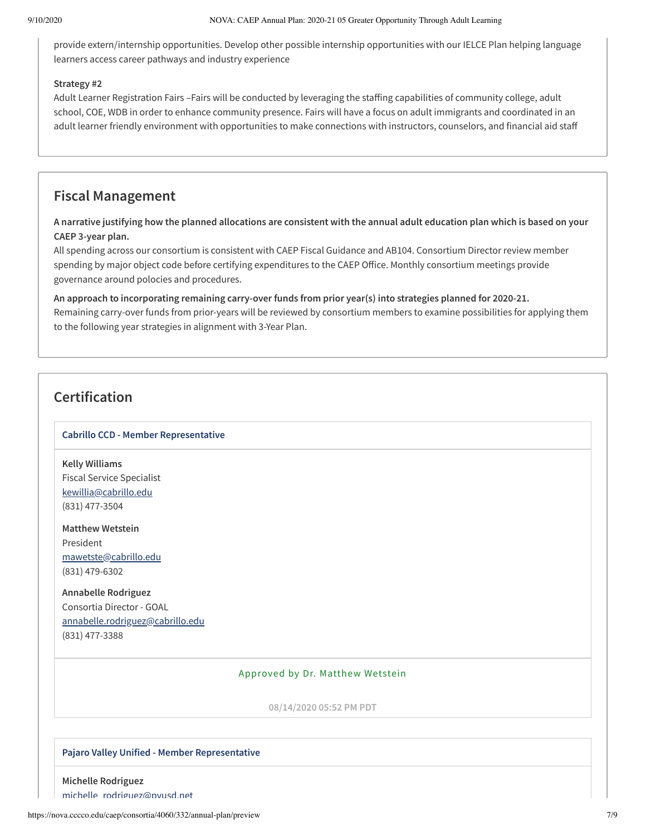provide extern/internship opportunities. Develop other possible internship opportunities with our IELCE Plan helping language learners access career pathways and industry experience

### **Strategy #2**

Adult Learner Registration Fairs -Fairs will be conducted by leveraging the staffing capabilities of community college, adult school, COE, WDB in order to enhance community presence. Fairs will have a focus on adult immigrants and coordinated in an adult learner friendly environment with opportunities to make connections with instructors, counselors, and financial aid staff

## **Fiscal Management**

A narrative justifying how the planned allocations are consistent with the annual adult education plan which is based on your **CAEP 3-year plan.**

All spending across our consortium is consistent with CAEP Fiscal Guidance and AB104. Consortium Director review member spending by major object code before certifying expenditures to the CAEP Office. Monthly consortium meetings provide governance around polocies and procedures.

**An approach to incorporating remaining carry-over funds from prior year(s) into strategies planned for 2020-21.** Remaining carry-over funds from prior-years will be reviewed by consortium members to examine possibilities for applying them to the following year strategies in alignment with 3-Year Plan.

## **Certification**

## **Cabrillo CCD - Member Representative**

**Kelly Williams** Fiscal Service Specialist [kewillia@cabrillo.edu](mailto:kewillia@cabrillo.edu) (831) 477-3504

**Matthew Wetstein** President [mawetste@cabrillo.edu](mailto:mawetste@cabrillo.edu) (831) 479-6302

**Annabelle Rodriguez** Consortia Director - GOAL [annabelle.rodriguez@cabrillo.edu](mailto:annabelle.rodriguez@cabrillo.edu) (831) 477-3388

## Approved by Dr. Matthew Wetstein

**08/14/2020 05:52 PM PDT**

#### **Pajaro Valley Unified - Member Representative**

**Michelle Rodriguez** michelle [rodriguez@pvusd.net](mailto:michelle_rodriguez@pvusd.net)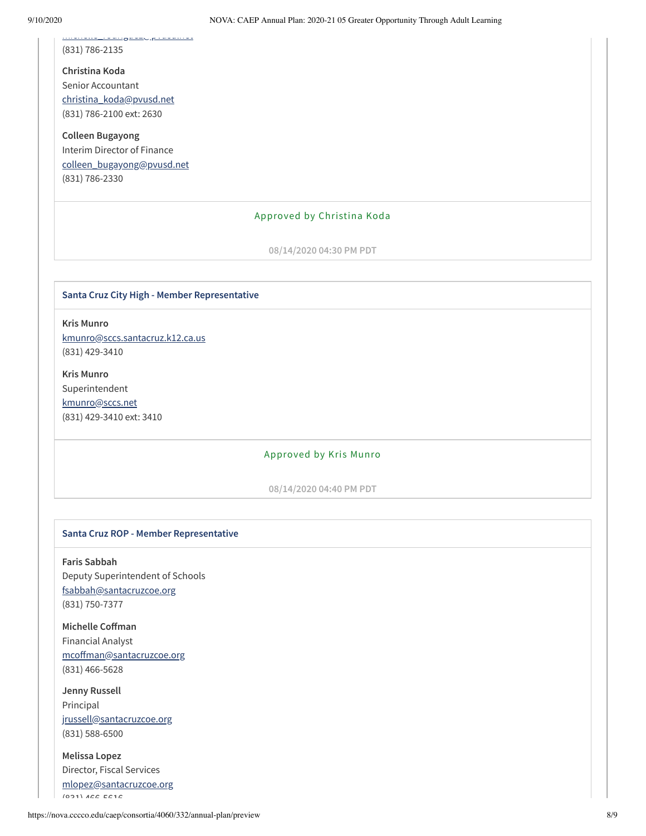(831) 786-2135

**Christina Koda** Senior Accountant [christina\\_koda@pvusd.net](mailto:christina_koda@pvusd.net) (831) 786-2100 ext: 2630

michelle\_rodriguez@prusd.net

**Colleen Bugayong** Interim Director of Finance [colleen\\_bugayong@pvusd.net](mailto:colleen_bugayong@pvusd.net) (831) 786-2330

#### Approved by Christina Koda

**08/14/2020 04:30 PM PDT**

#### **Santa Cruz City High - Member Representative**

**Kris Munro** [kmunro@sccs.santacruz.k12.ca.us](mailto:kmunro@sccs.santacruz.k12.ca.us) (831) 429-3410

**Kris Munro** Superintendent [kmunro@sccs.net](mailto:kmunro@sccs.net) (831) 429-3410 ext: 3410

#### Approved by Kris Munro

**08/14/2020 04:40 PM PDT**

### **Santa Cruz ROP - Member Representative**

**Faris Sabbah** Deputy Superintendent of Schools [fsabbah@santacruzcoe.org](mailto:fsabbah@santacruzcoe.org) (831) 750-7377

**Michelle** Coffman Financial Analyst mcoffman@santacruzcoe.org (831) 466-5628

**Jenny Russell** Principal [jrussell@santacruzcoe.org](mailto:jrussell@santacruzcoe.org) (831) 588-6500

**Melissa Lopez** Director, Fiscal Services [mlopez@santacruzcoe.org](mailto:mlopez@santacruzcoe.org)  $(021)$   $400$   $5010$